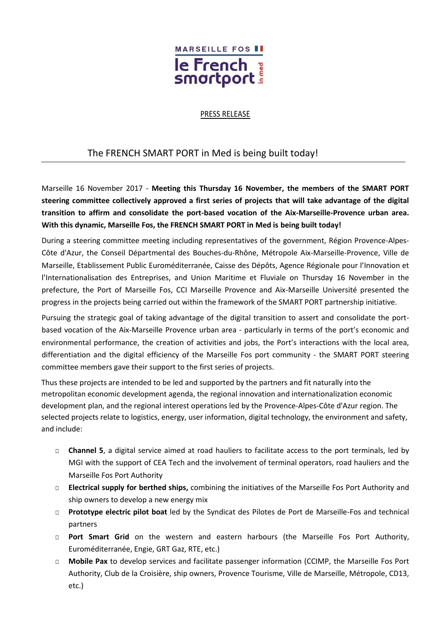

## PRESS RELEASE

## The FRENCH SMART PORT in Med is being built today!

Marseille 16 November 2017 - **Meeting this Thursday 16 November, the members of the SMART PORT steering committee collectively approved a first series of projects that will take advantage of the digital transition to affirm and consolidate the port-based vocation of the Aix-Marseille-Provence urban area. With this dynamic, Marseille Fos, the FRENCH SMART PORT in Med is being built today!**

During a steering committee meeting including representatives of the government, Région Provence-Alpes-Côte d'Azur, the Conseil Départmental des Bouches-du-Rhône, Métropole Aix-Marseille-Provence, Ville de Marseille, Etablissement Public Euroméditerranée, Caisse des Dépôts, Agence Régionale pour l'Innovation et l'Internationalisation des Entreprises, and Union Maritime et Fluviale on Thursday 16 November in the prefecture, the Port of Marseille Fos, CCI Marseille Provence and Aix-Marseille Université presented the progress in the projects being carried out within the framework of the SMART PORT partnership initiative.

Pursuing the strategic goal of taking advantage of the digital transition to assert and consolidate the portbased vocation of the Aix-Marseille Provence urban area - particularly in terms of the port's economic and environmental performance, the creation of activities and jobs, the Port's interactions with the local area, differentiation and the digital efficiency of the Marseille Fos port community - the SMART PORT steering committee members gave their support to the first series of projects.

Thus these projects are intended to be led and supported by the partners and fit naturally into the metropolitan economic development agenda, the regional innovation and internationalization economic development plan, and the regional interest operations led by the Provence-Alpes-Côte d'Azur region. The selected projects relate to logistics, energy, user information, digital technology, the environment and safety, and include:

- □ **Channel 5**, a digital service aimed at road hauliers to facilitate access to the port terminals, led by MGI with the support of CEA Tech and the involvement of terminal operators, road hauliers and the Marseille Fos Port Authority
- □ **Electrical supply for berthed ships,** combining the initiatives of the Marseille Fos Port Authority and ship owners to develop a new energy mix
- □ **Prototype electric pilot boat** led by the Syndicat des Pilotes de Port de Marseille-Fos and technical partners
- □ **Port Smart Grid** on the western and eastern harbours (the Marseille Fos Port Authority, Euroméditerranée, Engie, GRT Gaz, RTE, etc.)
- □ **Mobile Pax** to develop services and facilitate passenger information (CCIMP, the Marseille Fos Port Authority, Club de la Croisière, ship owners, Provence Tourisme, Ville de Marseille, Métropole, CD13, etc.)